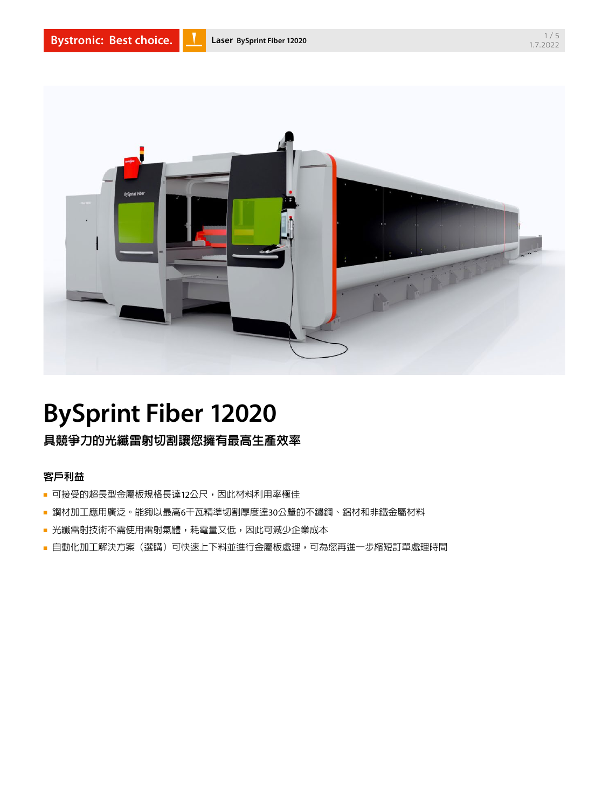

## **BySprint Fiber 12020**

具競爭力的光纖雷射切割讓您擁有最高生產效率

## 客戶利益

- 可接受的超長型金屬板規格長達12公尺,因此材料利用率極佳
- 鋼材加工應用廣泛。能夠以最高6千瓦精準切割厚度達30公釐的不鏽鋼、鋁材和非鐵金屬材料
- 光纖雷射技術不需使用雷射氣體,耗電量又低,因此可減少企業成本
- 自動化加工解決方案(選購)可快速上下料並進行金屬板處理,可為您再進一步縮短訂單處理時間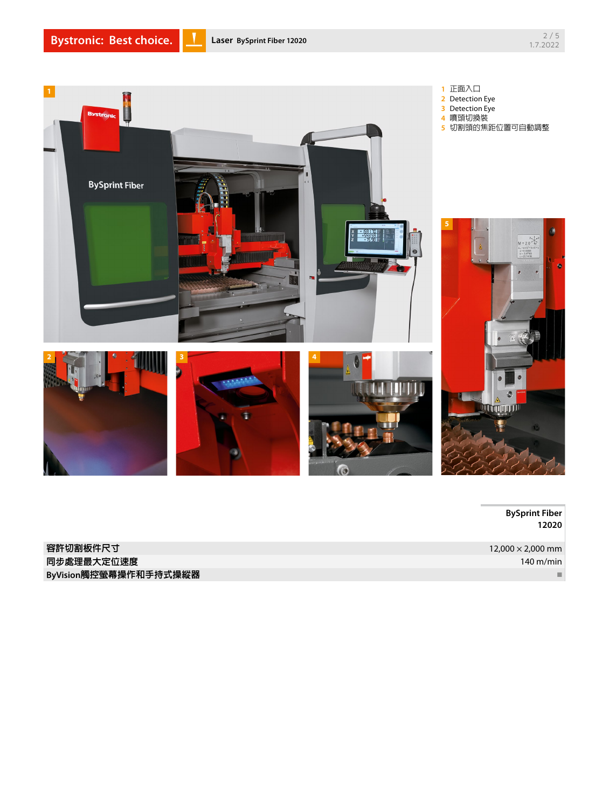- V



**BySprint Fiber 12020**

**容許切割板件尺寸** 12,000 × 2,000 mm 同步處理最大定位速度 140 m/min 2014 140 m/min 2014 140 m/min 2014 140 m/min 2014 140 m/min 2014 140 m/min 2014 140 m/min **ByVision**觸控螢幕操作和手持式操縱器 ■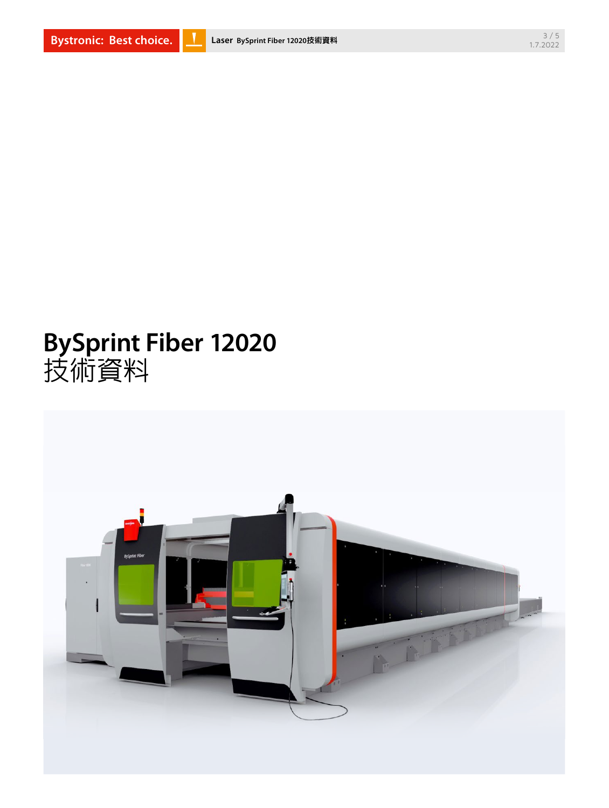## **BySprint Fiber 12020** 技術資料

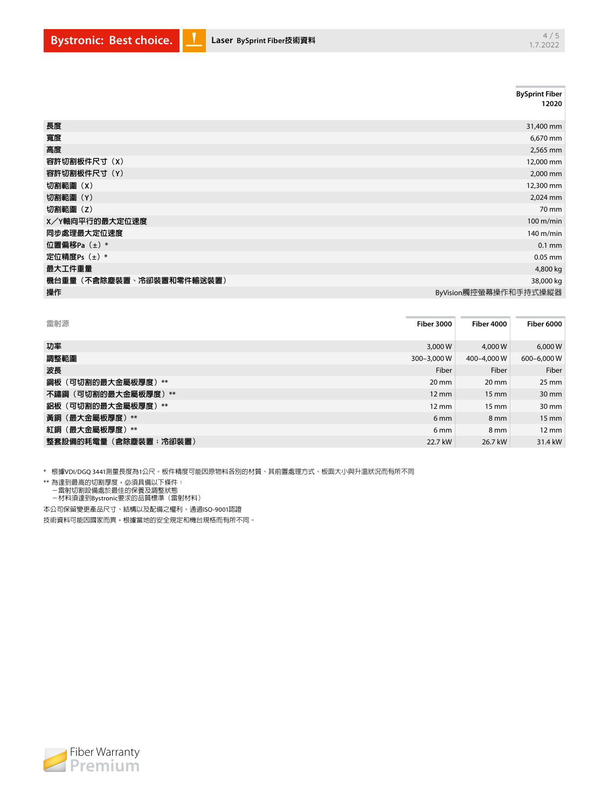|                          | <b>BySprint Fiber</b><br>12020 |
|--------------------------|--------------------------------|
| 長度                       | 31,400 mm                      |
| 寬度                       | 6,670 mm                       |
| 高度                       | 2,565 mm                       |
| 容許切割板件尺寸(X)              | 12,000 mm                      |
| 容許切割板件尺寸(Y)              | 2,000 mm                       |
| 切割範圍(X)                  | 12,300 mm                      |
| 切割範圍(Y)                  | 2,024 mm                       |
| 切割範圍(Z)                  | 70 mm                          |
| X/Y軸向平行的最大定位速度           | $100 \text{ m/min}$            |
| 同步處理最大定位速度               | 140 m/min                      |
| 位置偏移Pa(±)*               | $0.1$ mm                       |
| 定位精度Ps(±)*               | $0.05$ mm                      |
| 最大工件重量                   | 4,800 kg                       |
| 機台重量(不含除塵裝置、冷卻裝置和零件輸送裝置) | 38,000 kg                      |
| 操作                       | ByVision觸控螢幕操作和手持式操縱器          |

| 雷射源<br>Fiber 4000<br>Fiber 3000<br><b>Fiber 6000</b><br>功率<br>3,000 W<br>4,000 W<br>6,000 W |
|---------------------------------------------------------------------------------------------|
|                                                                                             |
|                                                                                             |
| 調整範圍<br>300-3,000 W<br>400-4,000 W<br>600-6,000 W                                           |
| 波長<br>Fiber<br>Fiber<br>Fiber                                                               |
| 鋼板(可切割的最大金屬板厚度)**<br>$25 \text{ mm}$<br>$20 \text{ mm}$<br>$20 \text{ mm}$                  |
| 不鏽鋼(可切割的最大金屬板厚度)**<br>30 mm<br>$12 \, \text{mm}$<br>$15 \text{ mm}$                         |
| 鋁板(可切割的最大金屬板厚度)**<br>30 mm<br>$12 \text{ mm}$<br>$15 \text{ mm}$                            |
| 黃銅 (最大金屬板厚度) **<br>$15 \text{ mm}$<br>6 <sub>mm</sub><br>$8 \text{ mm}$                     |
| 紅銅 (最大金屬板厚度) **<br>$12 \text{ mm}$<br>6 <sub>mm</sub><br>8 mm                               |
| 整套設備的耗電量(含除塵裝置;冷卻裝置)<br>22.7 kW<br>31.4 kW<br>26.7 kW                                       |

\* 根據VDI/DGQ 3441測量長度為1公尺。板件精度可能因原物料各別的材質、其前置處理方式、板面大小與升溫狀況而有所不同

\*\* 為達到最高的切割厚度,必須具備以下條件:

 -雷射切割設備處於最佳的保養及調整狀態

 -材料須達到Bystronic要求的品質標準(雷射材料)

本公司保留變更產品尺寸、結構以及配備之權利。通過ISO-9001認證

技術資料可能因國家而異,根據當地的安全規定和機台規格而有所不同。